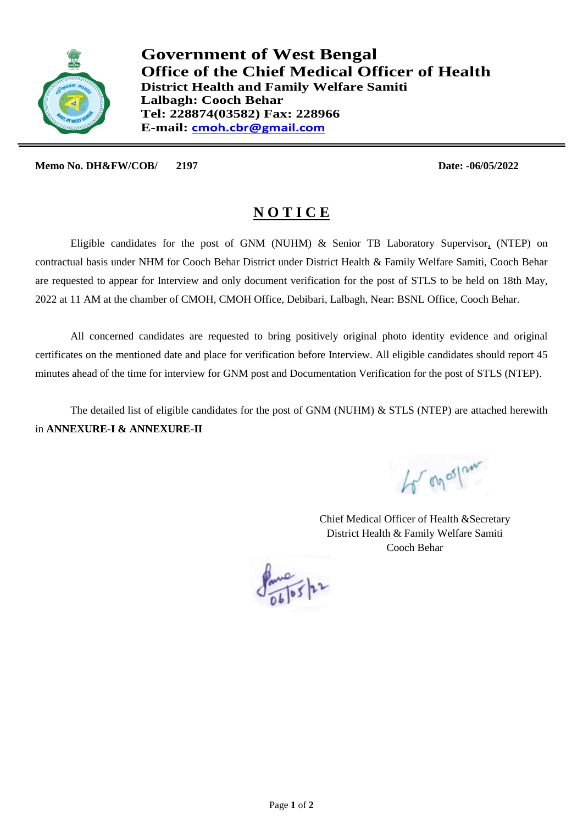

**Government of West Bengal Office of the Chief Medical Officer of Health District Health and Family Welfare Samiti Lalbagh: Cooch Behar Tel: 228874(03582) Fax: 228966 E-mail: cmoh.cbr@gmail.com**

**Memo No. DH&FW/COB/ 2197 Date: -06/05/2022**

## **N O T I C E**

Eligible candidates for the post of GNM (NUHM) & Senior TB Laboratory Supervisor, (NTEP) on contractual basis under NHM for Cooch Behar District under District Health & Family Welfare Samiti, Cooch Behar are requested to appear for Interview and only document verification for the post of STLS to be held on 18th May, 2022 at 11 AM at the chamber of CMOH, CMOH Office, Debibari, Lalbagh, Near: BSNL Office, Cooch Behar.

All concerned candidates are requested to bring positively original photo identity evidence and original certificates on the mentioned date and place for verification before Interview. All eligible candidates should report 45 minutes ahead of the time for interview for GNM post and Documentation Verification for the post of STLS (NTEP).

The detailed list of eligible candidates for the post of GNM (NUHM) & STLS (NTEP) are attached herewith in **ANNEXURE-I & ANNEXURE-II**

to on os pour

Chief Medical Officer of Health &Secretary District Health & Family Welfare Samiti Cooch Behar